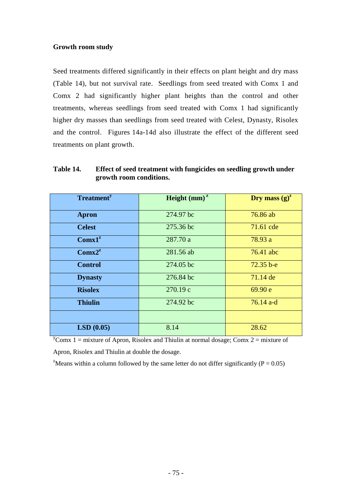## **Growth room study**

Seed treatments differed significantly in their effects on plant height and dry mass (Table 14), but not survival rate. Seedlings from seed treated with Comx 1 and Comx 2 had significantly higher plant heights than the control and other treatments, whereas seedlings from seed treated with Comx 1 had significantly higher dry masses than seedlings from seed treated with Celest, Dynasty, Risolex and the control. Figures 14a-14d also illustrate the effect of the different seed treatments on plant growth.

| <b>Treatment</b> <sup>y</sup> | Height $(mm)^{z}$ | Dry mass $(g)^z$ |
|-------------------------------|-------------------|------------------|
|                               |                   |                  |
| <b>Apron</b>                  | 274.97 bc         | 76.86 ab         |
| <b>Celest</b>                 | 275.36 bc         | 71.61 cde        |
| Comx1 <sup>z</sup>            | 287.70 a          | 78.93 a          |
| Comx2 <sup>z</sup>            | 281.56 ab         | 76.41 abc        |
| <b>Control</b>                | 274.05 bc         | $72.35 b - e$    |
| <b>Dynasty</b>                | 276.84 bc         | 71.14 de         |
| <b>Risolex</b>                | 270.19 c          | 69.90 e          |
| <b>Thiulin</b>                | 274.92 bc         | $76.14$ a-d      |
|                               |                   |                  |
| LSD(0.05)                     | 8.14              | 28.62            |

**Table 14. Effect of seed treatment with fungicides on seedling growth under growth room conditions.** 

 $y^y$ Comx 1 = mixture of Apron, Risolex and Thiulin at normal dosage; Comx 2 = mixture of Apron, Risolex and Thiulin at double the dosage.

<sup>z</sup>Means within a column followed by the same letter do not differ significantly ( $P = 0.05$ )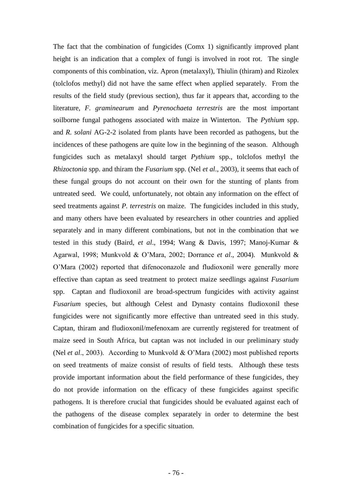The fact that the combination of fungicides (Comx 1) significantly improved plant height is an indication that a complex of fungi is involved in root rot. The single components of this combination, viz. Apron (metalaxyl), Thiulin (thiram) and Rizolex (tolclofos methyl) did not have the same effect when applied separately. From the results of the field study (previous section), thus far it appears that, according to the literature, *F. graminearum* and *Pyrenochaeta terrestris* are the most important soilborne fungal pathogens associated with maize in Winterton. The *Pythium* spp. and *R. solani* AG-2-2 isolated from plants have been recorded as pathogens, but the incidences of these pathogens are quite low in the beginning of the season. Although fungicides such as metalaxyl should target *Pythium* spp., tolclofos methyl the *Rhizoctonia* spp. and thiram the *Fusarium* spp. (Nel *et al*., 2003), it seems that each of these fungal groups do not account on their own for the stunting of plants from untreated seed. We could, unfortunately, not obtain any information on the effect of seed treatments against *P. terrestris* on maize. The fungicides included in this study, and many others have been evaluated by researchers in other countries and applied separately and in many different combinations, but not in the combination that we tested in this study (Baird, *et al*., 1994; Wang & Davis, 1997; Manoj-Kumar & Agarwal, 1998; Munkvold & O'Mara, 2002; Dorrance *et al*., 2004). Munkvold & O'Mara (2002) reported that difenoconazole and fludioxonil were generally more effective than captan as seed treatment to protect maize seedlings against *Fusarium* spp. Captan and fludioxonil are broad-spectrum fungicides with activity against *Fusarium* species, but although Celest and Dynasty contains fludioxonil these fungicides were not significantly more effective than untreated seed in this study. Captan, thiram and fludioxonil/mefenoxam are currently registered for treatment of maize seed in South Africa, but captan was not included in our preliminary study (Nel *et al*., 2003). According to Munkvold & O'Mara (2002) most published reports on seed treatments of maize consist of results of field tests. Although these tests provide important information about the field performance of these fungicides, they do not provide information on the efficacy of these fungicides against specific pathogens. It is therefore crucial that fungicides should be evaluated against each of the pathogens of the disease complex separately in order to determine the best combination of fungicides for a specific situation.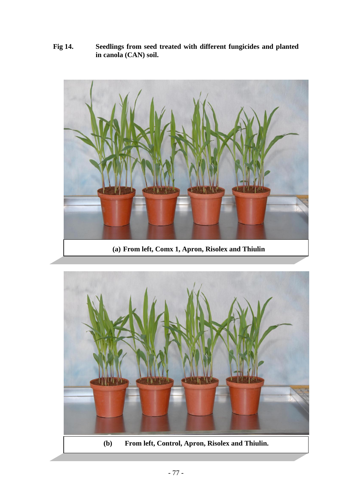**Fig 14. Seedlings from seed treated with different fungicides and planted in canola (CAN) soil.**